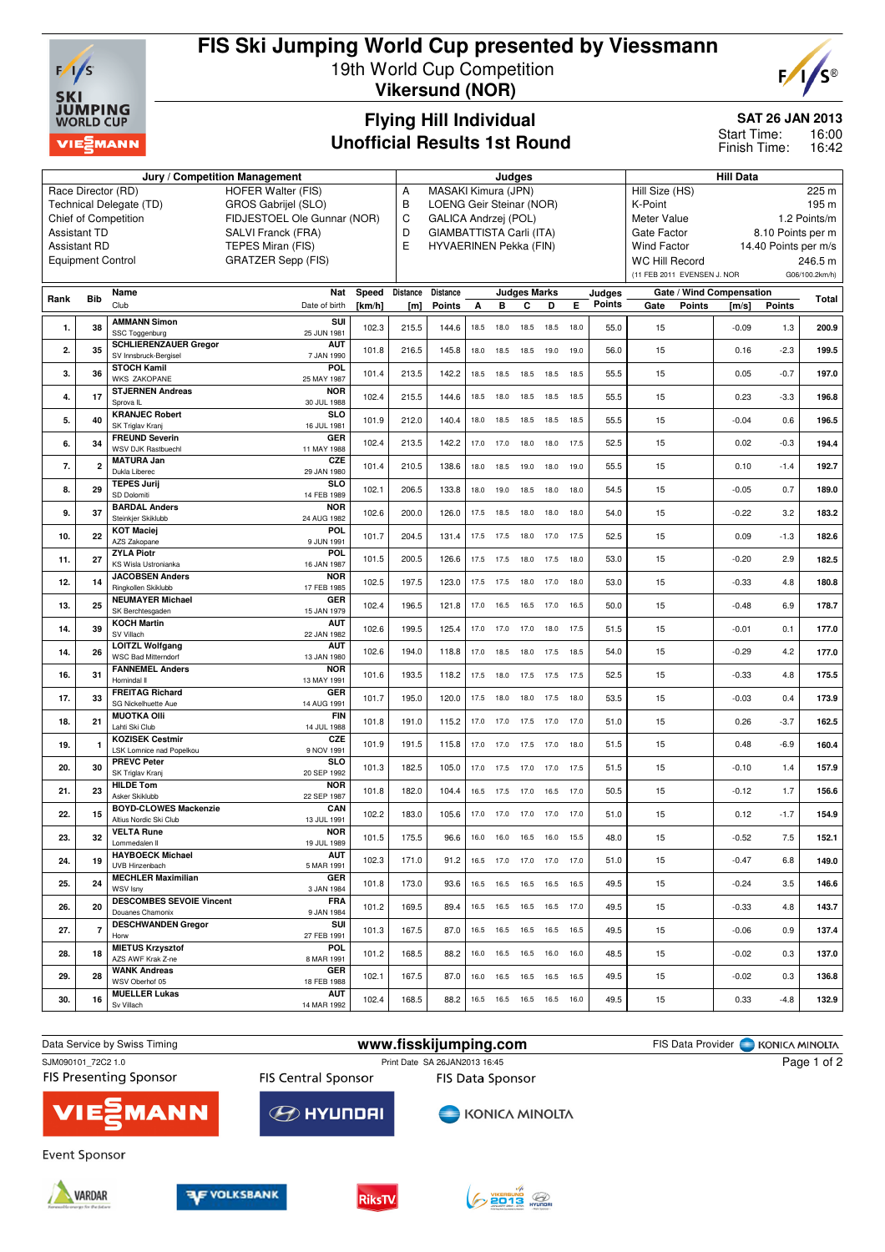

# **FIS Ski Jumping World Cup presented by Viessmann**

19th World Cup Competition **Vikersund (NOR)**



### **Flying Hill Individual Unofficial Results 1st Round**

## **SAT 26 JAN 2013**

16:00 16:42 Start Time: Finish Time:

|                                                                                                       | Judges                  |                                                                                   |        |                     |                                                                   |                          |                | <b>Hill Data</b>    |                              |                         |        |                                                                 |                          |               |                |
|-------------------------------------------------------------------------------------------------------|-------------------------|-----------------------------------------------------------------------------------|--------|---------------------|-------------------------------------------------------------------|--------------------------|----------------|---------------------|------------------------------|-------------------------|--------|-----------------------------------------------------------------|--------------------------|---------------|----------------|
|                                                                                                       | Race Director (RD)      | <b>HOFER Walter (FIS)</b>                                                         | Α<br>B | MASAKI Kimura (JPN) |                                                                   |                          |                |                     |                              | Hill Size (HS)<br>225 m |        |                                                                 |                          |               |                |
| GROS Gabrijel (SLO)<br>Technical Delegate (TD)<br>FIDJESTOEL Ole Gunnar (NOR)<br>Chief of Competition |                         |                                                                                   |        |                     |                                                                   | LOENG Geir Steinar (NOR) |                |                     |                              |                         |        | K-Point<br>195 m                                                |                          |               |                |
|                                                                                                       | <b>Assistant TD</b>     | SALVI Franck (FRA)                                                                |        |                     | C<br><b>GALICA Andrzej (POL)</b><br>D<br>GIAMBATTISTA Carli (ITA) |                          |                |                     |                              |                         |        | 1.2 Points/m<br>Meter Value<br>Gate Factor<br>8.10 Points per m |                          |               |                |
| <b>Assistant RD</b>                                                                                   | E                       | HYVAERINEN Pekka (FIN)                                                            |        |                     |                                                                   |                          |                |                     | <b>Wind Factor</b>           |                         |        | 14.40 Points per m/s                                            |                          |               |                |
| TEPES Miran (FIS)<br><b>GRATZER Sepp (FIS)</b><br><b>Equipment Control</b>                            |                         |                                                                                   |        |                     |                                                                   |                          |                |                     |                              |                         |        | <b>WC Hill Record</b>                                           |                          |               | 246.5 m        |
|                                                                                                       |                         |                                                                                   |        |                     |                                                                   |                          |                |                     |                              |                         |        | (11 FEB 2011 EVENSEN J. NOR                                     |                          |               | G06/100.2km/h) |
|                                                                                                       |                         | Name<br>Nat                                                                       | Speed  | <b>Distance</b>     | Distance                                                          |                          |                | <b>Judges Marks</b> |                              |                         | Judges |                                                                 | Gate / Wind Compensation |               |                |
| Rank                                                                                                  | <b>Bib</b>              | Club<br>Date of birth                                                             | [km/h] | [m]                 | <b>Points</b>                                                     | А                        | в              | С                   | D                            | Е                       | Points | Gate<br>Points                                                  | [m/s]                    | <b>Points</b> | Total          |
| 1.                                                                                                    | 38                      | <b>AMMANN Simon</b><br>SUI                                                        | 102.3  | 215.5               | 144.6                                                             | 18.5                     | 18.0           | 18.5                | 18.5                         | 18.0                    | 55.0   | 15                                                              | $-0.09$                  | 1.3           | 200.9          |
|                                                                                                       |                         | SSC Toggenburg<br>25 JUN 1981<br><b>SCHLIERENZAUER Gregor</b><br><b>AUT</b>       |        |                     |                                                                   |                          |                |                     |                              |                         |        |                                                                 |                          |               |                |
| 2.                                                                                                    | 35                      | SV Innsbruck-Bergisel<br>7 JAN 1990                                               | 101.8  | 216.5               | 145.8                                                             | 18.0                     | 18.5           | 18.5                | 19.0                         | 19.0                    | 56.0   | 15                                                              | 0.16                     | $-2.3$        | 199.5          |
| 3.                                                                                                    | 36                      | <b>STOCH Kamil</b><br><b>POL</b><br><b>WKS ZAKOPANE</b><br>25 MAY 1987            | 101.4  | 213.5               | 142.2                                                             | 18.5                     | 18.5           | 18.5                | 18.5                         | 18.5                    | 55.5   | 15                                                              | 0.05                     | $-0.7$        | 197.0          |
| 4.                                                                                                    | 17                      | <b>STJERNEN Andreas</b><br><b>NOR</b><br>Sprova <sub>IL</sub><br>30 JUL 1988      | 102.4  | 215.5               | 144.6                                                             | 18.5                     | 18.0           | 18.5                | 18.5                         | 18.5                    | 55.5   | 15                                                              | 0.23                     | $-3.3$        | 196.8          |
| 5.                                                                                                    | 40                      | <b>KRANJEC Robert</b><br><b>SLO</b>                                               | 101.9  | 212.0               | 140.4                                                             | 18.0                     | 18.5           | 18.5                | 18.5                         | 18.5                    | 55.5   | 15                                                              | $-0.04$                  | 0.6           | 196.5          |
|                                                                                                       |                         | SK Triglav Kranj<br>16 JUL 1981<br><b>FREUND Severin</b><br>GER                   |        |                     |                                                                   |                          |                |                     |                              |                         |        |                                                                 |                          |               |                |
| 6.                                                                                                    | 34                      | WSV DJK Rastbuechl<br>11 MAY 1988                                                 | 102.4  | 213.5               | 142.2                                                             | 17.0                     | 17.0           | 18.0                | 18.0                         | 17.5                    | 52.5   | 15                                                              | 0.02                     | $-0.3$        | 194.4          |
| 7.                                                                                                    | $\overline{\mathbf{2}}$ | CZE<br><b>MATURA Jan</b><br>Dukla Liberec<br>29 JAN 1980                          | 101.4  | 210.5               | 138.6                                                             | 18.0                     | 18.5           | 19.0                | 18.0                         | 19.0                    | 55.5   | 15                                                              | 0.10                     | $-1.4$        | 192.7          |
| 8.                                                                                                    | 29                      | <b>TEPES Jurii</b><br>SI <sub>O</sub><br>SD Dolomiti<br>14 FEB 1989               | 102.1  | 206.5               | 133.8                                                             | 18.0                     | 19.0           | 18.5                | 18.0                         | 18.0                    | 54.5   | 15                                                              | $-0.05$                  | 0.7           | 189.0          |
|                                                                                                       |                         | <b>BARDAL Anders</b><br><b>NOR</b>                                                |        |                     |                                                                   |                          |                |                     |                              |                         |        |                                                                 |                          |               |                |
| 9.                                                                                                    | 37                      | Steinkjer Skiklubb<br>24 AUG 1982                                                 | 102.6  | 200.0               | 126.0                                                             | 17.5                     | 18.5           | 18.0                | 18.0                         | 18.0                    | 54.0   | 15                                                              | $-0.22$                  | 3.2           | 183.2          |
| 10.                                                                                                   | 22                      | <b>KOT Maciej</b><br><b>POL</b><br>AZS Zakopane<br>9 JUN 1991                     | 101.7  | 204.5               | 131.4                                                             | 17.5                     | 17.5           | 18.0                | 17.0                         | 17.5                    | 52.5   | 15                                                              | 0.09                     | $-1.3$        | 182.6          |
| 11.                                                                                                   | 27                      | <b>ZYLA Piotr</b><br><b>POL</b><br>KS Wisla Ustronianka<br>16 JAN 1987            | 101.5  | 200.5               | 126.6                                                             | 17.5                     | 17.5           | 18.0                | 17.5                         | 18.0                    | 53.0   | 15                                                              | $-0.20$                  | 2.9           | 182.5          |
| 12.                                                                                                   | 14                      | <b>JACOBSEN Anders</b><br><b>NOR</b><br>Ringkollen Skiklubb<br>17 FEB 1985        | 102.5  | 197.5               | 123.0                                                             | 17.5                     | 17.5           | 18.0                | 17.0                         | 18.0                    | 53.0   | 15                                                              | $-0.33$                  | 4.8           | 180.8          |
| 13.                                                                                                   | 25                      | <b>NEUMAYER Michael</b><br>GER                                                    | 102.4  | 196.5               | 121.8                                                             | 17.0                     | 16.5           | 16.5                | 17.0                         | 16.5                    | 50.0   | 15                                                              | $-0.48$                  | 6.9           | 178.7          |
| 14.                                                                                                   | 39                      | SK Berchtesgaden<br>15 JAN 1979<br><b>KOCH Martin</b><br><b>AUT</b>               | 102.6  | 199.5               | 125.4                                                             | 17.0                     | 17.0           | 17.0                | 18.0                         | 17.5                    | 51.5   | 15                                                              | $-0.01$                  | 0.1           | 177.0          |
|                                                                                                       |                         | SV Villach<br>22 JAN 1982<br><b>LOITZL Wolfgang</b><br><b>AUT</b>                 |        |                     |                                                                   |                          |                |                     |                              |                         |        |                                                                 |                          |               |                |
| 14.                                                                                                   | 26                      | <b>WSC Bad Mitterndorf</b><br>13 JAN 1980<br><b>FANNEMEL Anders</b><br><b>NOR</b> | 102.6  | 194.0               | 118.8                                                             | 17.0                     | 18.5           | 18.0                | 17.5                         | 18.5                    | 54.0   | 15                                                              | $-0.29$                  | 4.2           | 177.0          |
| 16.                                                                                                   | 31                      | Hornindal II<br>13 MAY 1991<br><b>FREITAG Richard</b>                             | 101.6  | 193.5               | 118.2                                                             | 17.5                     | 18.0           | 17.5                | 17.5                         | 17.5                    | 52.5   | 15                                                              | $-0.33$                  | 4.8           | 175.5          |
| 17.                                                                                                   | 33                      | GER<br>SG Nickelhuette Aue<br>14 AUG 1991                                         | 101.7  | 195.0               | 120.0                                                             | 17.5                     | 18.0           | 18.0                | 17.5                         | 18.0                    | 53.5   | 15                                                              | $-0.03$                  | 0.4           | 173.9          |
| 18.                                                                                                   | 21                      | <b>MUOTKA OIII</b><br><b>FIN</b><br>Lahti Ski Club<br>14 JUL 1988                 | 101.8  | 191.0               | 115.2                                                             | 17.0                     | 17.0           | 17.5                | 17.0                         | 17.0                    | 51.0   | 15                                                              | 0.26                     | $-3.7$        | 162.5          |
| 19.                                                                                                   | $\mathbf{1}$            | <b>KOZISEK Cestmir</b><br>CZE<br>LSK Lomnice nad Popelkou<br>9 NOV 1991           | 101.9  | 191.5               | 115.8                                                             | 17.0                     | 17.0           | 17.5                | 17.0                         | 18.0                    | 51.5   | 15                                                              | 0.48                     | $-6.9$        | 160.4          |
| 20.                                                                                                   | 30                      | <b>PREVC Peter</b><br><b>SLO</b>                                                  | 101.3  | 182.5               | 105.0                                                             |                          | 17.0 17.5      | 17.0                | 17.0 17.5                    |                         | 51.5   | 15                                                              | $-0.10$                  | 1.4           | 157.9          |
|                                                                                                       |                         | SK Triglav Kranj<br>20 SEP 1992<br><b>HILDE Tom</b><br><b>NOR</b>                 |        |                     |                                                                   |                          |                |                     |                              |                         |        |                                                                 |                          |               |                |
| 21.                                                                                                   | 23                      | Asker Skiklubb<br>22 SEP 1987<br>CAN<br><b>BOYD-CLOWES Mackenzie</b>              | 101.8  | 182.0               | 104.4                                                             | 16.5                     | 17.5           | 17.0                | 16.5                         | 17.0                    | 50.5   | 15                                                              | $-0.12$                  | 1.7           | 156.6          |
| 22.                                                                                                   | 15                      | 13 JUL 1991<br>Altius Nordic Ski Club                                             | 102.2  | 183.0               | 105.6                                                             |                          | 17.0 17.0 17.0 |                     | 17.0 17.0                    |                         | 51.0   | 15                                                              | 0.12                     | $-1.7$        | 154.9          |
| 23.                                                                                                   | 32                      | <b>NOR</b><br><b>VELTA Rune</b><br>19 JUL 1989<br>Lommedalen II                   | 101.5  | 175.5               | 96.6                                                              |                          |                | 16.0 16.0 16.5 16.0 |                              | 15.5                    | 48.0   | 15                                                              | $-0.52$                  | 7.5           | 152.1          |
| 24.                                                                                                   | 19                      | <b>HAYBOECK Michael</b><br><b>AUT</b><br>UVB Hinzenbach<br>5 MAR 1991             | 102.3  | 171.0               | 91.2                                                              |                          |                |                     | 16.5 17.0 17.0 17.0 17.0     |                         | 51.0   | 15                                                              | $-0.47$                  | 6.8           | 149.0          |
| 25.                                                                                                   | 24                      | <b>MECHLER Maximilian</b><br>GER                                                  | 101.8  | 173.0               | 93.6                                                              |                          |                |                     | 16.5 16.5 16.5 16.5 16.5     |                         | 49.5   | 15                                                              | $-0.24$                  | 3.5           | 146.6          |
| 26.                                                                                                   | 20                      | 3 JAN 1984<br>WSV Isny<br><b>DESCOMBES SEVOIE Vincent</b><br><b>FRA</b>           | 101.2  | 169.5               | 89.4                                                              |                          |                |                     | 16.5  16.5  16.5  16.5  17.0 |                         | 49.5   | 15                                                              | $-0.33$                  | 4.8           | 143.7          |
|                                                                                                       |                         | Douanes Chamonix<br>9 JAN 1984<br><b>DESCHWANDEN Gregor</b><br>SUI                |        |                     | 87.0                                                              |                          |                |                     | 16.5  16.5  16.5  16.5  16.5 |                         | 49.5   |                                                                 |                          | 0.9           |                |
| 27.                                                                                                   | $\overline{7}$          | 27 FEB 1991<br>Horw<br><b>MIETUS Krzysztof</b><br>POL                             | 101.3  | 167.5               |                                                                   |                          |                |                     |                              |                         |        | 15                                                              | $-0.06$                  |               | 137.4          |
| 28.                                                                                                   | 18                      | AZS AWF Krak Z-ne<br>8 MAR 1991                                                   | 101.2  | 168.5               | 88.2                                                              |                          |                |                     | 16.0  16.5  16.5  16.0  16.0 |                         | 48.5   | 15                                                              | $-0.02$                  | 0.3           | 137.0          |
| 29.                                                                                                   | 28                      | <b>WANK Andreas</b><br>GER<br>WSV Oberhof 05<br>18 FEB 1988                       | 102.1  | 167.5               | 87.0                                                              |                          |                |                     | 16.0  16.5  16.5  16.5  16.5 |                         | 49.5   | 15                                                              | $-0.02$                  | 0.3           | 136.8          |
| 30.                                                                                                   | 16                      | <b>MUELLER Lukas</b><br><b>AUT</b><br>Sv Villach<br>14 MAR 1992                   | 102.4  | 168.5               | 88.2                                                              |                          |                |                     | 16.5  16.5  16.5  16.5  16.0 |                         | 49.5   | 15                                                              | 0.33                     | $-4.8$        | 132.9          |
|                                                                                                       |                         |                                                                                   |        |                     |                                                                   |                          |                |                     |                              |                         |        |                                                                 |                          |               |                |